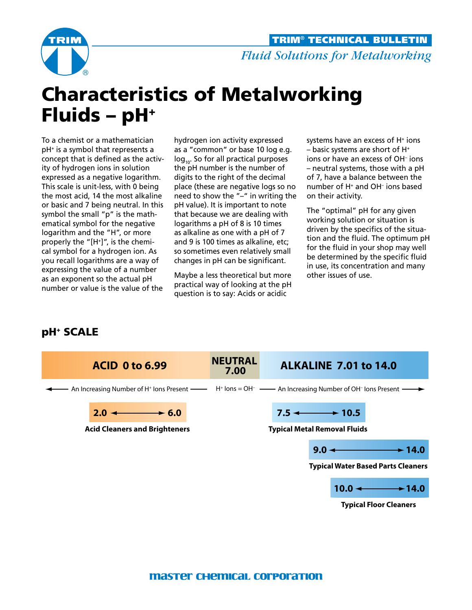

## Characteristics of Metalworking Fluids –  $pH^+$

To a chemist or a mathematician pH+ is a symbol that represents a concept that is defined as the activity of hydrogen ions in solution expressed as a negative logarithm. This scale is unit-less, with 0 being the most acid, 14 the most alkaline or basic and 7 being neutral. In this symbol the small "p" is the mathematical symbol for the negative logarithm and the "H", or more properly the "[H+]", is the chemical symbol for a hydrogen ion. As you recall logarithms are a way of expressing the value of a number as an exponent so the actual pH number or value is the value of the

hydrogen ion activity expressed as a "common" or base 10 log e.g.  $log_{10}$ . So for all practical purposes the pH number is the number of digits to the right of the decimal place (these are negative logs so no need to show the "–" in writing the pH value). It is important to note that because we are dealing with logarithms a pH of 8 is 10 times as alkaline as one with a pH of 7 and 9 is 100 times as alkaline, etc; so sometimes even relatively small changes in pH can be significant.

Maybe a less theoretical but more practical way of looking at the pH question is to say: Acids or acidic

systems have an excess of H+ ions  $-$  basic systems are short of H $+$ ions or have an excess of OH– ions – neutral systems, those with a pH of 7, have a balance between the number of H+ and OH– ions based on their activity.

The "optimal" pH for any given working solution or situation is driven by the specifics of the situation and the fluid. The optimum pH for the fluid in your shop may well be determined by the specific fluid in use, its concentration and many other issues of use.

## pH+ SCALE